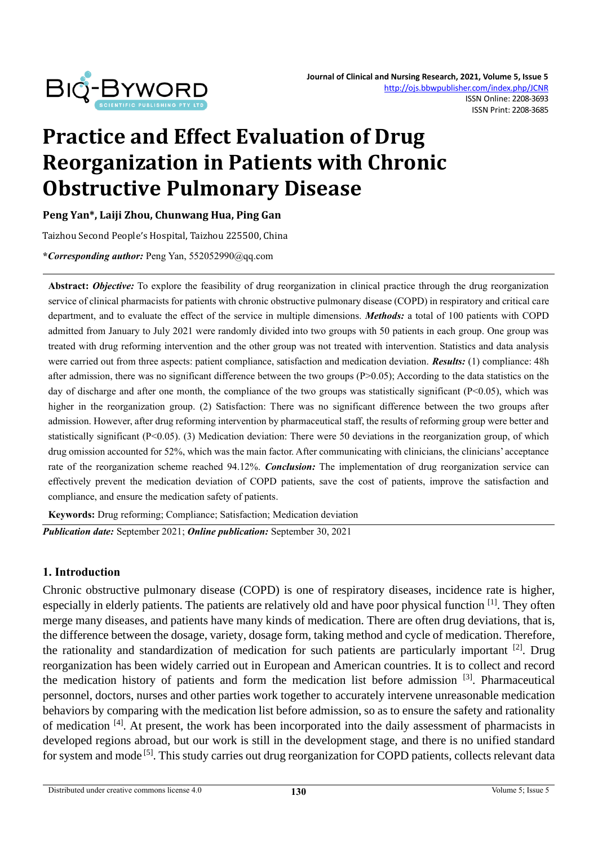

# **Practice and Effect Evaluation of Drug Reorganization in Patients with Chronic Obstructive Pulmonary Disease**

**Peng Yan\*, Laiji Zhou, Chunwang Hua, Ping Gan**

Taizhou Second People's Hospital, Taizhou 225500, China

**\****Corresponding author:* Peng Yan, 552052990@qq.com

**Abstract:** *Objective:* To explore the feasibility of drug reorganization in clinical practice through the drug reorganization service of clinical pharmacists for patients with chronic obstructive pulmonary disease (COPD) in respiratory and critical care department, and to evaluate the effect of the service in multiple dimensions. *Methods:* a total of 100 patients with COPD admitted from January to July 2021 were randomly divided into two groups with 50 patients in each group. One group was treated with drug reforming intervention and the other group was not treated with intervention. Statistics and data analysis were carried out from three aspects: patient compliance, satisfaction and medication deviation. *Results:* (1) compliance: 48h after admission, there was no significant difference between the two groups  $(P>0.05)$ ; According to the data statistics on the day of discharge and after one month, the compliance of the two groups was statistically significant  $(P< 0.05)$ , which was higher in the reorganization group. (2) Satisfaction: There was no significant difference between the two groups after admission. However, after drug reforming intervention by pharmaceutical staff, the results of reforming group were better and statistically significant (P<0.05). (3) Medication deviation: There were 50 deviations in the reorganization group, of which drug omission accounted for 52%, which was the main factor. After communicating with clinicians, the clinicians' acceptance rate of the reorganization scheme reached 94.12%. *Conclusion:* The implementation of drug reorganization service can effectively prevent the medication deviation of COPD patients, save the cost of patients, improve the satisfaction and compliance, and ensure the medication safety of patients.

**Keywords:** Drug reforming; Compliance; Satisfaction; Medication deviation

*Publication date:* September 2021; *Online publication:* September 30, 2021

#### **1. Introduction**

Chronic obstructive pulmonary disease (COPD) is one of respiratory diseases, incidence rate is higher, especially in elderly patients. The patients are relatively old and have poor physical function [1]. They often merge many diseases, and patients have many kinds of medication. There are often drug deviations, that is, the difference between the dosage, variety, dosage form, taking method and cycle of medication. Therefore, the rationality and standardization of medication for such patients are particularly important  $[2]$ . Drug reorganization has been widely carried out in European and American countries. It is to collect and record the medication history of patients and form the medication list before admission [3]. Pharmaceutical personnel, doctors, nurses and other parties work together to accurately intervene unreasonable medication behaviors by comparing with the medication list before admission, so as to ensure the safety and rationality of medication [4]. At present, the work has been incorporated into the daily assessment of pharmacists in developed regions abroad, but our work is still in the development stage, and there is no unified standard for system and mode<sup>[5]</sup>. This study carries out drug reorganization for COPD patients, collects relevant data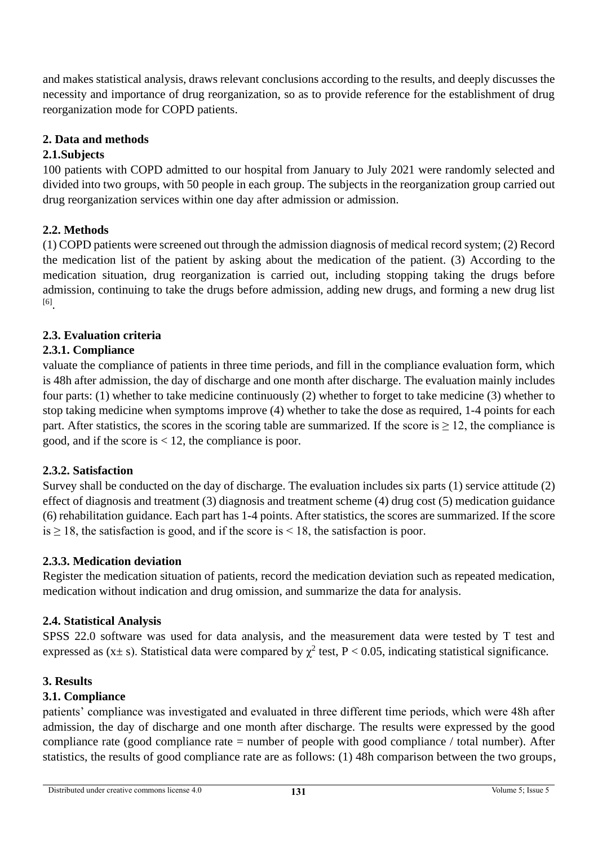and makes statistical analysis, draws relevant conclusions according to the results, and deeply discusses the necessity and importance of drug reorganization, so as to provide reference for the establishment of drug reorganization mode for COPD patients.

# **2. Data and methods**

## **2.1.Subjects**

100 patients with COPD admitted to our hospital from January to July 2021 were randomly selected and divided into two groups, with 50 people in each group. The subjects in the reorganization group carried out drug reorganization services within one day after admission or admission.

# **2.2. Methods**

(1) COPD patients were screened out through the admission diagnosis of medical record system; (2) Record the medication list of the patient by asking about the medication of the patient. (3) According to the medication situation, drug reorganization is carried out, including stopping taking the drugs before admission, continuing to take the drugs before admission, adding new drugs, and forming a new drug list [6] .

## **2.3. Evaluation criteria**

## **2.3.1. Compliance**

valuate the compliance of patients in three time periods, and fill in the compliance evaluation form, which is 48h after admission, the day of discharge and one month after discharge. The evaluation mainly includes four parts: (1) whether to take medicine continuously (2) whether to forget to take medicine (3) whether to stop taking medicine when symptoms improve (4) whether to take the dose as required, 1-4 points for each part. After statistics, the scores in the scoring table are summarized. If the score is  $\geq 12$ , the compliance is good, and if the score is  $< 12$ , the compliance is poor.

## **2.3.2. Satisfaction**

Survey shall be conducted on the day of discharge. The evaluation includes six parts (1) service attitude (2) effect of diagnosis and treatment (3) diagnosis and treatment scheme (4) drug cost (5) medication guidance (6) rehabilitation guidance. Each part has 1-4 points. After statistics, the scores are summarized. If the score is  $\geq$  18, the satisfaction is good, and if the score is < 18, the satisfaction is poor.

## **2.3.3. Medication deviation**

Register the medication situation of patients, record the medication deviation such as repeated medication, medication without indication and drug omission, and summarize the data for analysis.

## **2.4. Statistical Analysis**

SPSS 22.0 software was used for data analysis, and the measurement data were tested by T test and expressed as (x ± s). Statistical data were compared by  $\chi^2$  test, P < 0.05, indicating statistical significance.

## **3. Results**

## **3.1. Compliance**

patients' compliance was investigated and evaluated in three different time periods, which were 48h after admission, the day of discharge and one month after discharge. The results were expressed by the good compliance rate (good compliance rate = number of people with good compliance / total number). After statistics, the results of good compliance rate are as follows: (1) 48h comparison between the two groups,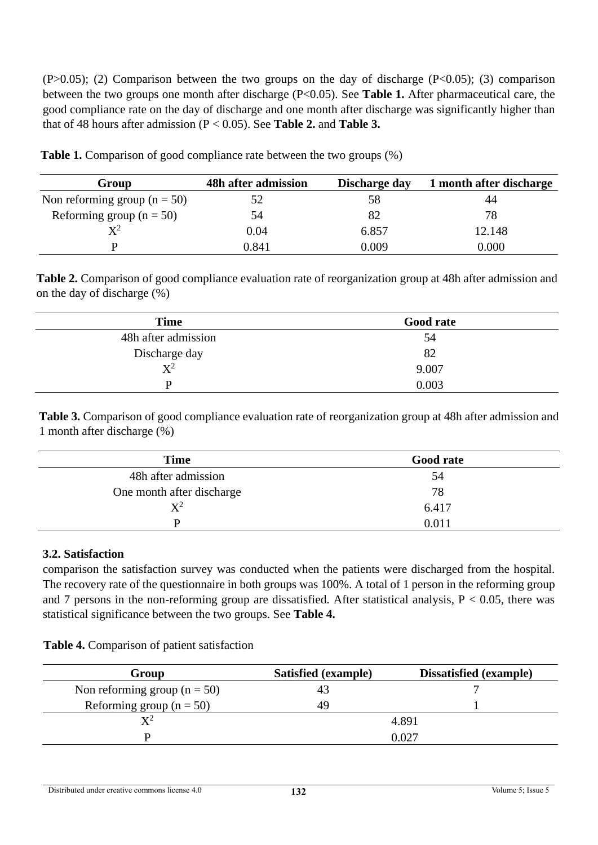$(P>0.05)$ ; (2) Comparison between the two groups on the day of discharge  $(P<0.05)$ ; (3) comparison between the two groups one month after discharge (P<0.05). See **Table 1.** After pharmaceutical care, the good compliance rate on the day of discharge and one month after discharge was significantly higher than that of 48 hours after admission (P < 0.05). See **Table 2.** and **Table 3.**

| Group                            | 48h after admission | Discharge day | 1 month after discharge |
|----------------------------------|---------------------|---------------|-------------------------|
| Non reforming group ( $n = 50$ ) |                     | 58            |                         |
| Reforming group ( $n = 50$ )     | 54                  | 82            | 78                      |
| $\mathrm{X}^2$                   | 0.04                | 6.857         | 12.148                  |
|                                  | 0.841               | 0.009         | 0.000                   |

**Table 1.** Comparison of good compliance rate between the two groups  $(\%)$ 

**Table 2.** Comparison of good compliance evaluation rate of reorganization group at 48h after admission and on the day of discharge (%)

| <b>Time</b>         | <b>Good rate</b> |  |
|---------------------|------------------|--|
| 48h after admission | 54               |  |
| Discharge day       | 82               |  |
| $X^2$               | 9.007            |  |
|                     | 0.003            |  |

**Table 3.** Comparison of good compliance evaluation rate of reorganization group at 48h after admission and 1 month after discharge (%)

| <b>Time</b>               | <b>Good rate</b> |  |
|---------------------------|------------------|--|
| 48h after admission       | 54               |  |
| One month after discharge | 78               |  |
| $X^2$                     | 6.417            |  |
| D                         | 0.011            |  |

## **3.2. Satisfaction**

comparison the satisfaction survey was conducted when the patients were discharged from the hospital. The recovery rate of the questionnaire in both groups was 100%. A total of 1 person in the reforming group and 7 persons in the non-reforming group are dissatisfied. After statistical analysis,  $P < 0.05$ , there was statistical significance between the two groups. See **Table 4.**

#### **Table 4.** Comparison of patient satisfaction

| Group                            | Satisfied (example) | <b>Dissatisfied</b> (example) |
|----------------------------------|---------------------|-------------------------------|
| Non reforming group ( $n = 50$ ) | 43                  |                               |
| Reforming group ( $n = 50$ )     | 49                  |                               |
| $\mathbf{v}^2$                   |                     | 4.891                         |
|                                  |                     | 0.027                         |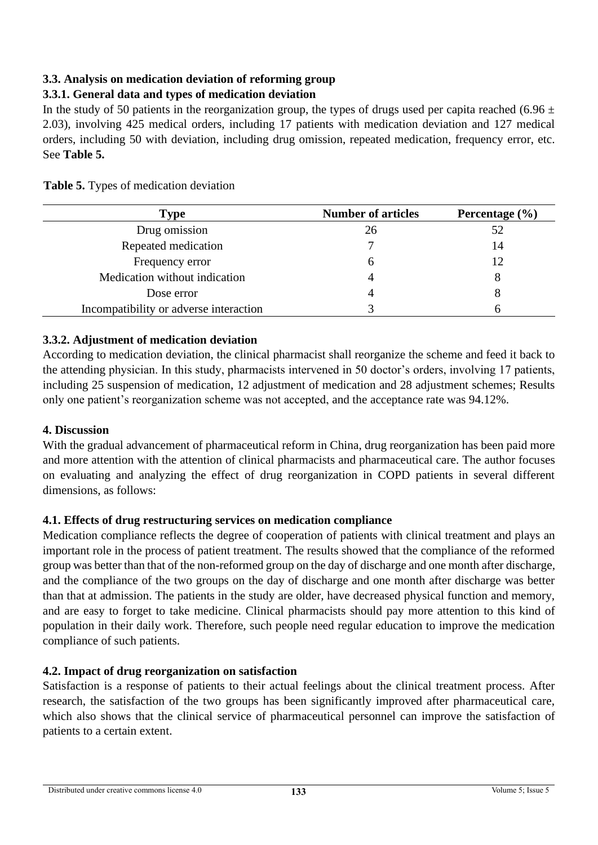# **3.3. Analysis on medication deviation of reforming group**

# **3.3.1. General data and types of medication deviation**

In the study of 50 patients in the reorganization group, the types of drugs used per capita reached (6.96  $\pm$ 2.03), involving 425 medical orders, including 17 patients with medication deviation and 127 medical orders, including 50 with deviation, including drug omission, repeated medication, frequency error, etc. See **Table 5.**

| Type                                   | <b>Number of articles</b> | Percentage $(\% )$ |
|----------------------------------------|---------------------------|--------------------|
| Drug omission                          | 26                        | 52                 |
| Repeated medication                    |                           | 14                 |
| Frequency error                        | h                         | 12                 |
| Medication without indication          |                           |                    |
| Dose error                             |                           |                    |
| Incompatibility or adverse interaction |                           |                    |

**Table 5.** Types of medication deviation

## **3.3.2. Adjustment of medication deviation**

According to medication deviation, the clinical pharmacist shall reorganize the scheme and feed it back to the attending physician. In this study, pharmacists intervened in 50 doctor's orders, involving 17 patients, including 25 suspension of medication, 12 adjustment of medication and 28 adjustment schemes; Results only one patient's reorganization scheme was not accepted, and the acceptance rate was 94.12%.

## **4. Discussion**

With the gradual advancement of pharmaceutical reform in China, drug reorganization has been paid more and more attention with the attention of clinical pharmacists and pharmaceutical care. The author focuses on evaluating and analyzing the effect of drug reorganization in COPD patients in several different dimensions, as follows:

## **4.1. Effects of drug restructuring services on medication compliance**

Medication compliance reflects the degree of cooperation of patients with clinical treatment and plays an important role in the process of patient treatment. The results showed that the compliance of the reformed group was better than that of the non-reformed group on the day of discharge and one month after discharge, and the compliance of the two groups on the day of discharge and one month after discharge was better than that at admission. The patients in the study are older, have decreased physical function and memory, and are easy to forget to take medicine. Clinical pharmacists should pay more attention to this kind of population in their daily work. Therefore, such people need regular education to improve the medication compliance of such patients.

## **4.2. Impact of drug reorganization on satisfaction**

Satisfaction is a response of patients to their actual feelings about the clinical treatment process. After research, the satisfaction of the two groups has been significantly improved after pharmaceutical care, which also shows that the clinical service of pharmaceutical personnel can improve the satisfaction of patients to a certain extent.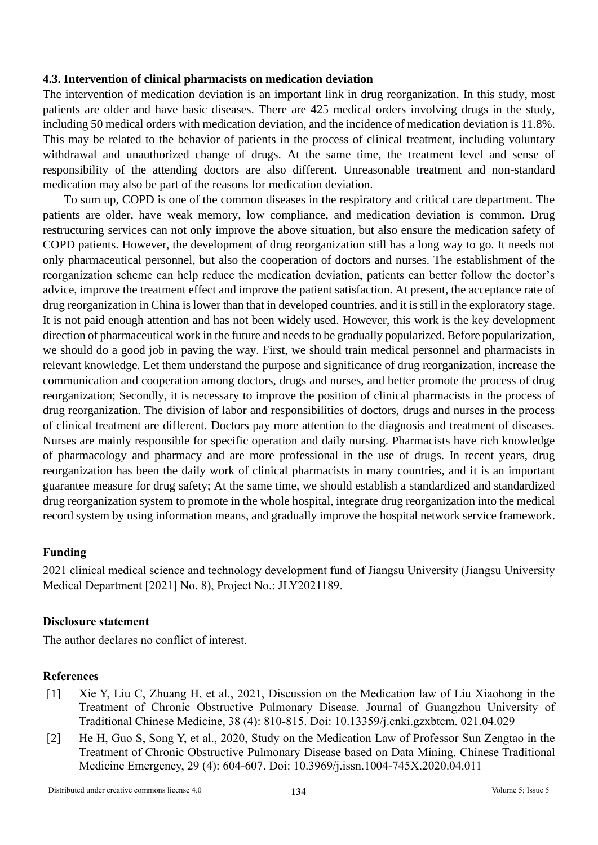## **4.3. Intervention of clinical pharmacists on medication deviation**

The intervention of medication deviation is an important link in drug reorganization. In this study, most patients are older and have basic diseases. There are 425 medical orders involving drugs in the study, including 50 medical orders with medication deviation, and the incidence of medication deviation is 11.8%. This may be related to the behavior of patients in the process of clinical treatment, including voluntary withdrawal and unauthorized change of drugs. At the same time, the treatment level and sense of responsibility of the attending doctors are also different. Unreasonable treatment and non-standard medication may also be part of the reasons for medication deviation.

To sum up, COPD is one of the common diseases in the respiratory and critical care department. The patients are older, have weak memory, low compliance, and medication deviation is common. Drug restructuring services can not only improve the above situation, but also ensure the medication safety of COPD patients. However, the development of drug reorganization still has a long way to go. It needs not only pharmaceutical personnel, but also the cooperation of doctors and nurses. The establishment of the reorganization scheme can help reduce the medication deviation, patients can better follow the doctor's advice, improve the treatment effect and improve the patient satisfaction. At present, the acceptance rate of drug reorganization in China is lower than that in developed countries, and it is still in the exploratory stage. It is not paid enough attention and has not been widely used. However, this work is the key development direction of pharmaceutical work in the future and needs to be gradually popularized. Before popularization, we should do a good job in paving the way. First, we should train medical personnel and pharmacists in relevant knowledge. Let them understand the purpose and significance of drug reorganization, increase the communication and cooperation among doctors, drugs and nurses, and better promote the process of drug reorganization; Secondly, it is necessary to improve the position of clinical pharmacists in the process of drug reorganization. The division of labor and responsibilities of doctors, drugs and nurses in the process of clinical treatment are different. Doctors pay more attention to the diagnosis and treatment of diseases. Nurses are mainly responsible for specific operation and daily nursing. Pharmacists have rich knowledge of pharmacology and pharmacy and are more professional in the use of drugs. In recent years, drug reorganization has been the daily work of clinical pharmacists in many countries, and it is an important guarantee measure for drug safety; At the same time, we should establish a standardized and standardized drug reorganization system to promote in the whole hospital, integrate drug reorganization into the medical record system by using information means, and gradually improve the hospital network service framework.

## **Funding**

2021 clinical medical science and technology development fund of Jiangsu University (Jiangsu University Medical Department [2021] No. 8), Project No.: JLY2021189.

## **Disclosure statement**

The author declares no conflict of interest.

## **References**

- [1] Xie Y, Liu C, Zhuang H, et al., 2021, Discussion on the Medication law of Liu Xiaohong in the Treatment of Chronic Obstructive Pulmonary Disease. Journal of Guangzhou University of Traditional Chinese Medicine, 38 (4): 810-815. Doi: 10.13359/j.cnki.gzxbtcm. 021.04.029
- [2] He H, Guo S, Song Y, et al., 2020, Study on the Medication Law of Professor Sun Zengtao in the Treatment of Chronic Obstructive Pulmonary Disease based on Data Mining. Chinese Traditional Medicine Emergency, 29 (4): 604-607. Doi: 10.3969/j.issn.1004-745X.2020.04.011